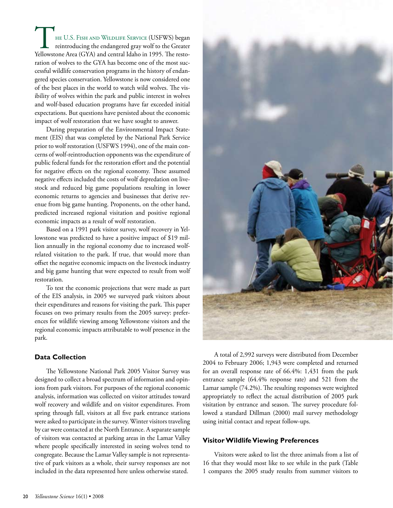he U.S. Fish and Wildlife Service (USFWS) began reintroducing the endangered gray wolf to the Greater THE U.S. FISH AND WILDLIFE SERVICE (USFWS) began reintroducing the endangered gray wolf to the Greater Yellowstone Area (GYA) and central Idaho in 1995. The restoration of wolves to the GYA has become one of the most successful wildlife conservation programs in the history of endangered species conservation. Yellowstone is now considered one of the best places in the world to watch wild wolves. The visibility of wolves within the park and public interest in wolves and wolf-based education programs have far exceeded initial expectations. But questions have persisted about the economic impact of wolf restoration that we have sought to answer.

During preparation of the Environmental Impact Statement (EIS) that was completed by the National Park Service prior to wolf restoration (USFWS 1994), one of the main concerns of wolf-reintroduction opponents was the expenditure of public federal funds for the restoration effort and the potential for negative effects on the regional economy. These assumed negative effects included the costs of wolf depredation on livestock and reduced big game populations resulting in lower economic returns to agencies and businesses that derive revenue from big game hunting. Proponents, on the other hand, predicted increased regional visitation and positive regional economic impacts as a result of wolf restoration.

Based on a 1991 park visitor survey, wolf recovery in Yellowstone was predicted to have a positive impact of \$19 million annually in the regional economy due to increased wolfrelated visitation to the park. If true, that would more than offset the negative economic impacts on the livestock industry and big game hunting that were expected to result from wolf restoration.

To test the economic projections that were made as part of the EIS analysis, in 2005 we surveyed park visitors about their expenditures and reasons for visiting the park. This paper focuses on two primary results from the 2005 survey: preferences for wildlife viewing among Yellowstone visitors and the regional economic impacts attributable to wolf presence in the park.

#### **Data Collection**

The Yellowstone National Park 2005 Visitor Survey was designed to collect a broad spectrum of information and opinions from park visitors. For purposes of the regional economic analysis, information was collected on visitor attitudes toward wolf recovery and wildlife and on visitor expenditures. From spring through fall, visitors at all five park entrance stations were asked to participate in the survey. Winter visitors traveling by car were contacted at the North Entrance. A separate sample of visitors was contacted at parking areas in the Lamar Valley where people specifically interested in seeing wolves tend to congregate. Because the Lamar Valley sample is not representative of park visitors as a whole, their survey responses are not included in the data represented here unless otherwise stated.



A total of 2,992 surveys were distributed from December 2004 to February 2006; 1,943 were completed and returned for an overall response rate of 66.4%: 1,431 from the park entrance sample (64.4% response rate) and 521 from the Lamar sample (74.2%). The resulting responses were weighted appropriately to reflect the actual distribution of 2005 park visitation by entrance and season. The survey procedure followed a standard Dillman (2000) mail survey methodology using initial contact and repeat follow-ups.

#### **Visitor Wildlife Viewing Preferences**

Visitors were asked to list the three animals from a list of 16 that they would most like to see while in the park (Table 1 compares the 2005 study results from summer visitors to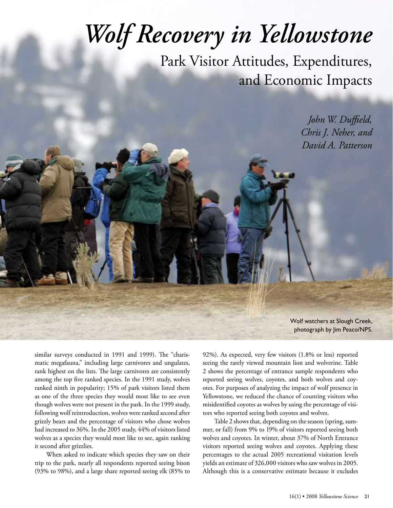# *Wolf Recovery in Yellowstone*

Park Visitor Attitudes, Expenditures, and Economic Impacts

> *John W. Duffield, Chris J. Neher, and David A. Patterson*

Wolf watchers at Slough Creek, photograph by Jim Peaco/NPS.

similar surveys conducted in 1991 and 1999). The "charismatic megafauna," including large carnivores and ungulates, rank highest on the lists. The large carnivores are consistently among the top five ranked species. In the 1991 study, wolves ranked ninth in popularity; 15% of park visitors listed them as one of the three species they would most like to see even though wolves were not present in the park. In the 1999 study, following wolf reintroduction, wolves were ranked second after grizzly bears and the percentage of visitors who chose wolves had increased to 36%. In the 2005 study, 44% of visitors listed wolves as a species they would most like to see, again ranking it second after grizzlies.

When asked to indicate which species they saw on their trip to the park, nearly all respondents reported seeing bison (93% to 98%), and a large share reported seeing elk (85% to

92%). As expected, very few visitors (1.8% or less) reported seeing the rarely viewed mountain lion and wolverine. Table 2 shows the percentage of entrance sample respondents who reported seeing wolves, coyotes, and both wolves and coyotes. For purposes of analyzing the impact of wolf presence in Yellowstone, we reduced the chance of counting visitors who misidentified coyotes as wolves by using the percentage of visitors who reported seeing both coyotes and wolves.

Table 2 shows that, depending on the season (spring, summer, or fall) from 9% to 19% of visitors reported seeing both wolves and coyotes. In winter, about 37% of North Entrance visitors reported seeing wolves and coyotes. Applying these percentages to the actual 2005 recreational visitation levels yields an estimate of 326,000 visitors who saw wolves in 2005. Although this is a conservative estimate because it excludes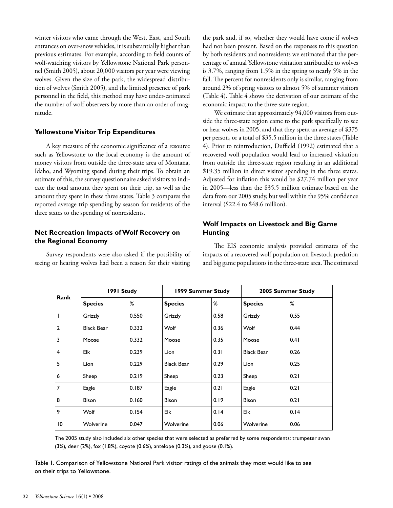winter visitors who came through the West, East, and South entrances on over-snow vehicles, it is substantially higher than previous estimates. For example, according to field counts of wolf-watching visitors by Yellowstone National Park personnel (Smith 2005), about 20,000 visitors per year were viewing wolves. Given the size of the park, the widespread distribution of wolves (Smith 2005), and the limited presence of park personnel in the field, this method may have under-estimated the number of wolf observers by more than an order of magnitude.

### **Yellowstone Visitor Trip Expenditures**

A key measure of the economic significance of a resource such as Yellowstone to the local economy is the amount of money visitors from outside the three-state area of Montana, Idaho, and Wyoming spend during their trips. To obtain an estimate of this, the survey questionnaire asked visitors to indicate the total amount they spent on their trip, as well as the amount they spent in these three states. Table 3 compares the reported average trip spending by season for residents of the three states to the spending of nonresidents.

## **Net Recreation Impacts of Wolf Recovery on the Regional Economy**

Survey respondents were also asked if the possibility of seeing or hearing wolves had been a reason for their visiting the park and, if so, whether they would have come if wolves had not been present. Based on the responses to this question by both residents and nonresidents we estimated that the percentage of annual Yellowstone visitation attributable to wolves is 3.7%, ranging from 1.5% in the spring to nearly 5% in the fall. The percent for nonresidents only is similar, ranging from around 2% of spring visitors to almost 5% of summer visitors (Table 4). Table 4 shows the derivation of our estimate of the economic impact to the three-state region.

We estimate that approximately 94,000 visitors from outside the three-state region came to the park specifically to see or hear wolves in 2005, and that they spent an average of \$375 per person, or a total of \$35.5 million in the three states (Table 4). Prior to reintroduction, Duffield (1992) estimated that a recovered wolf population would lead to increased visitation from outside the three-state region resulting in an additional \$19.35 million in direct visitor spending in the three states. Adjusted for inflation this would be \$27.74 million per year in 2005—less than the \$35.5 million estimate based on the data from our 2005 study, but well within the 95% confidence interval (\$22.4 to \$48.6 million).

## **Wolf Impacts on Livestock and Big Game Hunting**

The EIS economic analysis provided estimates of the impacts of a recovered wolf population on livestock predation and big game populations in the three-state area. The estimated

| Rank             | 1991 Study        |       | 1999 Summer Study |      | 2005 Summer Study |      |
|------------------|-------------------|-------|-------------------|------|-------------------|------|
|                  | <b>Species</b>    | %     | <b>Species</b>    | %    | <b>Species</b>    | %    |
| $\mathbf{I}$     | Grizzly           | 0.550 | Grizzly           | 0.58 | Grizzly           | 0.55 |
| $\overline{2}$   | <b>Black Bear</b> | 0.332 | Wolf              | 0.36 | Wolf              | 0.44 |
| 3                | Moose             | 0.332 | Moose             | 0.35 | Moose             | 0.41 |
| $\overline{4}$   | Elk               | 0.239 | Lion              | 0.31 | <b>Black Bear</b> | 0.26 |
| 5                | Lion              | 0.229 | <b>Black Bear</b> | 0.29 | Lion              | 0.25 |
| $\boldsymbol{6}$ | Sheep             | 0.219 | Sheep             | 0.23 | Sheep             | 0.21 |
| $\overline{7}$   | Eagle             | 0.187 | Eagle             | 0.21 | Eagle             | 0.21 |
| 8                | <b>Bison</b>      | 0.160 | <b>Bison</b>      | 0.19 | <b>Bison</b>      | 0.21 |
| 9                | Wolf              | 0.154 | Elk               | 0.14 | Elk               | 0.14 |
| 10               | Wolverine         | 0.047 | Wolverine         | 0.06 | Wolverine         | 0.06 |

The 2005 study also included six other species that were selected as preferred by some respondents: trumpeter swan (3%), deer (2%), fox (1.8%), coyote (0.6%), antelope (0.3%), and goose (0.1%).

Table 1. Comparison of Yellowstone National Park visitor ratings of the animals they most would like to see on their trips to Yellowstone.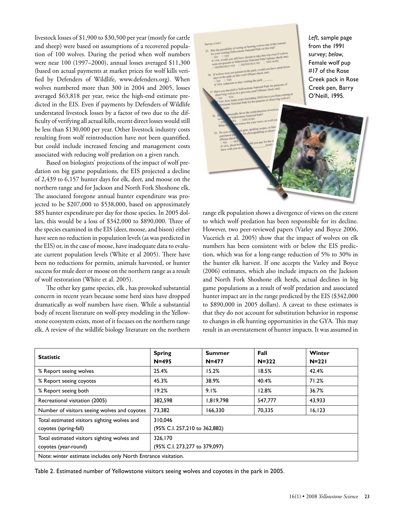livestock losses of \$1,900 to \$30,500 per year (mostly for cattle and sheep) were based on assumptions of a recovered population of 100 wolves. During the period when wolf numbers were near 100 (1997–2000), annual losses averaged \$11,300 (based on actual payments at market prices for wolf kills verified by Defenders of Wildlife, www.defenders.org). When wolves numbered more than 300 in 2004 and 2005, losses averaged \$63,818 per year, twice the high-end estimate predicted in the EIS. Even if payments by Defenders of Wildlife understated livestock losses by a factor of two due to the difficulty of verifying all actual kills, recent direct losses would still be less than \$130,000 per year. Other livestock industry costs resulting from wolf reintroduction have not been quantified, but could include increased fencing and management costs associated with reducing wolf predation on a given ranch.

Based on biologists' projections of the impact of wolf predation on big game populations, the EIS projected a decline of 2,439 to 6,157 hunter days for elk, deer, and moose on the northern range and for Jackson and North Fork Shoshone elk. The associated foregone annual hunter expenditure was projected to be \$207,000 to \$538,000, based on approximately \$85 hunter expenditure per day for those species. In 2005 dollars, this would be a loss of \$342,000 to \$890,000. Three of the species examined in the EIS (deer, moose, and bison) either have seen no reduction in population levels (as was predicted in the EIS) or, in the case of moose, have inadequate data to evaluate current population levels (White et al 2005). There have been no reductions for permits, animals harvested, or hunter success for mule deer or moose on the northern range as a result of wolf restoration (White et al. 2005).

The other key game species, elk , has provoked substantial concern in recent years because some herd sizes have dropped dramatically as wolf numbers have risen. While a substantial body of recent literature on wolf-prey modeling in the Yellowstone ecosystem exists, most of it focuses on the northern range elk. A review of the wildlife biology literature on the northern



range elk population shows a divergence of views on the extent to which wolf predation has been responsible for its decline. However, two peer-reviewed papers (Varley and Boyce 2006, Vucetich et al. 2005) show that the impact of wolves on elk numbers has been consistent with or below the EIS prediction, which was for a long-range reduction of 5% to 30% in the hunter elk harvest. If one accepts the Varley and Boyce (2006) estimates, which also include impacts on the Jackson and North Fork Shoshone elk herds, actual declines in big game populations as a result of wolf predation and associated hunter impact are in the range predicted by the EIS (\$342,000 to \$890,000 in 2005 dollars). A caveat to these estimates is that they do not account for substitution behavior in response to changes in elk hunting opportunities in the GYA. This may result in an overstatement of hunter impacts. It was assumed in

| <b>Statistic</b>                                                      | <b>Spring</b><br>$N=495$                   | <b>Summer</b><br>$N=477$ | Fall<br>$N = 322$ | Winter<br>$N=221$ |
|-----------------------------------------------------------------------|--------------------------------------------|--------------------------|-------------------|-------------------|
| % Report seeing wolves                                                | 25.4%                                      | 15.2%                    | 18.5%             | 42.4%             |
| % Report seeing coyotes                                               | 45.3%                                      | 38.9%                    | 40.4%             | 71.2%             |
| % Report seeing both                                                  | 19.2%                                      | 9.1%                     | 12.8%             | 36.7%             |
| Recreational visitation (2005)                                        | 382,598                                    | 1,819,798                | 547,777           | 43,933            |
| Number of visitors seeing wolves and coyotes                          | 73,382                                     | 166,330                  | 70,335            | 16, 123           |
| Total estimated visitors sighting wolves and<br>coyotes (spring-fall) | 310.046<br>(95% C.I. 257, 210 to 362, 882) |                          |                   |                   |
| Total estimated visitors sighting wolves and<br>coyotes (year-round)  | 326,170<br>(95% C.I. 273,277 to 379,097)   |                          |                   |                   |
| Note: winter estimate includes only North Entrance visitation.        |                                            |                          |                   |                   |

Table 2. Estimated number of Yellowstone visitors seeing wolves and coyotes in the park in 2005.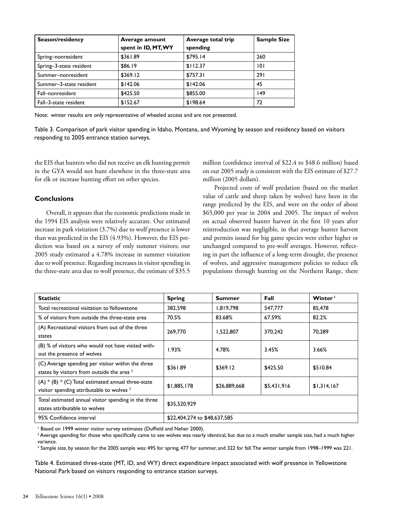| Season/residency        | Average amount<br>spent in ID, MT, WY | Average total trip<br>spending | <b>Sample Size</b> |
|-------------------------|---------------------------------------|--------------------------------|--------------------|
| Spring-nonresident      | \$361.89                              | \$795.14                       | 260                |
| Spring-3-state resident | \$86.19                               | \$112.37                       | 101                |
| Summer-nonresident      | \$369.12                              | \$757.31                       | 291                |
| Summer-3-state resident | \$142.06                              | \$142.06                       | 45                 |
| Fall-nonresident        | \$425.50                              | \$855.00                       | 149                |
| Fall-3-state resident   | \$152.67                              | \$198.64                       | 72                 |

Note: winter results are only representative of wheeled access and are not presented.

Table 3. Comparison of park visitor spending in Idaho, Montana, and Wyoming by season and residency based on visitors responding to 2005 entrance station surveys.

the EIS that hunters who did not receive an elk hunting permit in the GYA would not hunt elsewhere in the three-state area for elk or increase hunting effort on other species.

#### **Conclusions**

Overall, it appears that the economic predictions made in the 1994 EIS analysis were relatively accurate. Our estimated increase in park visitation (3.7%) due to wolf presence is lower than was predicted in the EIS (4.93%). However, the EIS prediction was based on a survey of only summer visitors; our 2005 study estimated a 4.78% increase in summer visitation due to wolf presence. Regarding increases in visitor spending in the three-state area due to wolf presence, the estimate of \$35.5

million (confidence interval of \$22.4 to \$48.6 million) based on our 2005 study is consistent with the EIS estimate of \$27.7 million (2005 dollars).

Projected costs of wolf predation (based on the market value of cattle and sheep taken by wolves) have been in the range predicted by the EIS, and were on the order of about \$65,000 per year in 2004 and 2005. The impact of wolves on actual observed hunter harvest in the first 10 years after reintroduction was negligible, in that average hunter harvest and permits issued for big game species were either higher or unchanged compared to pre-wolf averages. However, reflecting in part the influence of a long-term drought, the presence of wolves, and aggressive management policies to reduce elk populations through hunting on the Northern Range, there

| <b>Statistic</b>                                                                                             | <b>Spring</b>                | Summer       | Fall        | Winter <sup>1</sup> |
|--------------------------------------------------------------------------------------------------------------|------------------------------|--------------|-------------|---------------------|
| Total recreational visitation to Yellowstone                                                                 | 382,598                      | 1,819,798    | 547,777     | 85,478              |
| % of visitors from outside the three-state area                                                              | 70.5%                        | 83.68%       | 67.59%      | 82.2%               |
| (A) Recreational visitors from out of the three<br>states                                                    | 269,770                      | 1,522,807    | 370,242     | 70,289              |
| (B) % of visitors who would not have visited with-<br>out the presence of wolves                             | 1.93%                        | 4.78%        | 3.45%       | 3.66%               |
| (C) Average spending per visitor within the three<br>states by visitors from outside the area <sup>2</sup>   | \$361.89                     | \$369.12     | \$425.50    | \$510.84            |
| $(A) * (B) * (C)$ Total estimated annual three-state<br>visitor spending attributable to wolves <sup>3</sup> | \$1,885,178                  | \$26,889,668 | \$5,431,916 | \$1,314,167         |
| Total estimated annual visitor spending in the three<br>states attributable to wolves                        | \$35,520,929                 |              |             |                     |
| 95% Confidence interval                                                                                      | \$22,404,274 to \$48,637,585 |              |             |                     |

<sup>1</sup> Based on 1999 winter visitor survey estimates (Duffield and Neher 2000).

2 Average spending for those who specifically came to see wolves was nearly identical, but due to a much smaller sample size, had a much higher variance.

 $^3$  Sample size, by season for the 2005 sample was: 495 for spring, 477 for summer, and 322 for fall.The winter sample from 1998–1999 was 221.

Table 4. Estimated three-state (MT, ID, and WY) direct expenditure impact associated with wolf presence in Yellowstone National Park based on visitors responding to entrance station surveys.